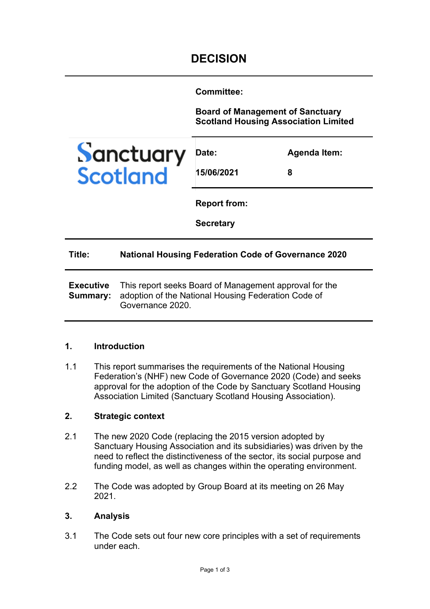**Committee:** 

**Board of Management of Sanctuary Scotland Housing Association Limited**



| Date:      | Agenda Item: |
|------------|--------------|
| 15/06/2021 | 8            |

**Report from:** 

**Secretary**

#### **Title: National Housing Federation Code of Governance 2020**

**Executive Summary:**  This report seeks Board of Management approval for the adoption of the National Housing Federation Code of Governance 2020.

#### **1. Introduction**

1.1 This report summarises the requirements of the National Housing Federation's (NHF) new Code of Governance 2020 (Code) and seeks approval for the adoption of the Code by Sanctuary Scotland Housing Association Limited (Sanctuary Scotland Housing Association).

# **2. Strategic context**

- 2.1 The new 2020 Code (replacing the 2015 version adopted by Sanctuary Housing Association and its subsidiaries) was driven by the need to reflect the distinctiveness of the sector, its social purpose and funding model, as well as changes within the operating environment.
- 2.2 The Code was adopted by Group Board at its meeting on 26 May 2021.

#### **3. Analysis**

3.1 The Code sets out four new core principles with a set of requirements under each.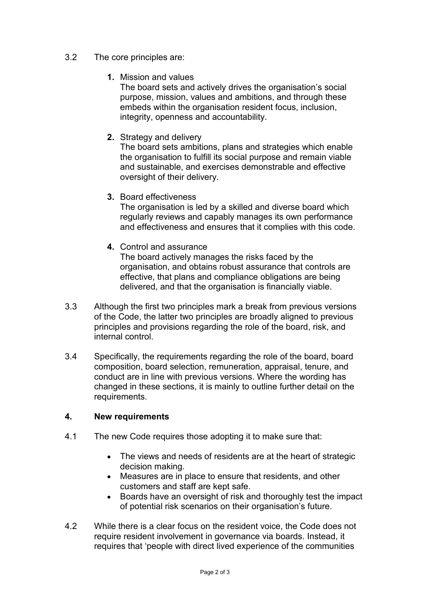# 3.2 The core principles are:

**1.** Mission and values

The board sets and actively drives the organisation's social purpose, mission, values and ambitions, and through these embeds within the organisation resident focus, inclusion, integrity, openness and accountability.

**2.** Strategy and delivery

The board sets ambitions, plans and strategies which enable the organisation to fulfill its social purpose and remain viable and sustainable, and exercises demonstrable and effective oversight of their delivery.

## **3.** Board effectiveness

The organisation is led by a skilled and diverse board which regularly reviews and capably manages its own performance and effectiveness and ensures that it complies with this code.

**4.** Control and assurance

The board actively manages the risks faced by the organisation, and obtains robust assurance that controls are effective, that plans and compliance obligations are being delivered, and that the organisation is financially viable.

- 3.3 Although the first two principles mark a break from previous versions of the Code, the latter two principles are broadly aligned to previous principles and provisions regarding the role of the board, risk, and internal control.
- 3.4 Specifically, the requirements regarding the role of the board, board composition, board selection, remuneration, appraisal, tenure, and conduct are in line with previous versions. Where the wording has changed in these sections, it is mainly to outline further detail on the requirements.

# **4. New requirements**

- 4.1 The new Code requires those adopting it to make sure that:
	- The views and needs of residents are at the heart of strategic decision making.
	- Measures are in place to ensure that residents, and other customers and staff are kept safe.
	- Boards have an oversight of risk and thoroughly test the impact of potential risk scenarios on their organisation's future.
- 4.2 While there is a clear focus on the resident voice, the Code does not require resident involvement in governance via boards. Instead, it requires that 'people with direct lived experience of the communities